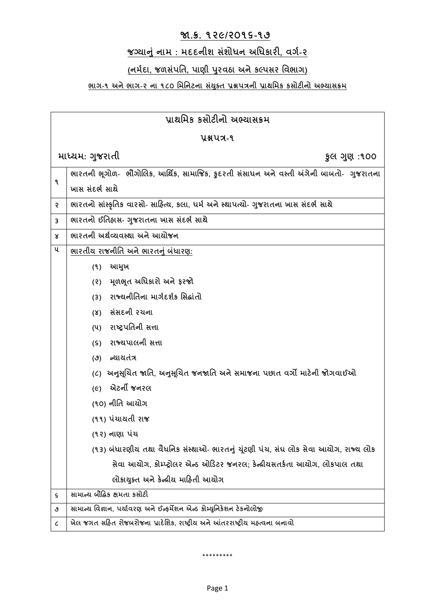#### **જા.ક્ર. ૧૨૯/૨૦૧૬-૧૭**

## **જગ્યાનું નામ : મદદનીશ સુંશોધન અધધકારી, વર્ગ-૨**

## **(નમગદા, જળસુંપધિ, પાણી પર વઠા અનેકલ્પસર ધવભાર્)**

#### **ભાર્-૧ અનેભાર્-૨ ના ૧૮૦ ધમધનટના સયું ક્ િ પ્રશ્નપત્રની પ્રાથધમક કસોટીનો અભ્યાસક્રમ**

| પ્રાથમિક કસોટીનો અભ્યાસક્રમ |                                                                                          |  |
|-----------------------------|------------------------------------------------------------------------------------------|--|
| yaux-9                      |                                                                                          |  |
|                             | માધ્યમ: ગુજરાતી<br>કુલ ગુણ :૧૦૦                                                          |  |
| ٩                           | ભારતની ભૂગોળ-  ભૌગોલિક, આર્થિક, સામાજિક, કુદરતી સંસાધન અને વસ્તી અંગેની બાબતો-  ગુજરાતના |  |
|                             | ખાસ સંદર્ભ સાથે                                                                          |  |
| S.                          | ભારતનો સાંસ્કૃતિક વારસો- સાહિત્ય, કલા, ધર્મ અને સ્થાપત્યો- ગુજરાતના ખાસ સંદર્ભ સાથે      |  |
| 3                           | ભારતનો ઈતિહાસ- ગુજરાતના ખાસ સંદર્ભ સાથે                                                  |  |
| x                           | ભારતની અર્થવ્યવસ્થા અને આયોજન                                                            |  |
| ૫                           | <u>ભારતીય રાજનીતિ અને ભારતનું બંધારણ:</u>                                                |  |
|                             | આમુખ<br>(9)                                                                              |  |
|                             | મૂળભૂત અધિકારો અને ફરજો<br>(5)                                                           |  |
|                             | રાજ્યનીતિના માર્ગદર્શક સિદ્ધાંતો<br>(3)                                                  |  |
|                             | (४) સંસદની રચના                                                                          |  |
|                             | (૫) રાષ્ટ્રપતિની સત્તા                                                                   |  |
|                             | રાજ્યપાલની સત્તા<br>(S)                                                                  |  |
|                             | (૭) ન્યાયતંત્ર                                                                           |  |
|                             | અનુસૂચિત જાતિ, અનુસૂચિત જનજાતિ અને સમાજના પછાત વર્ગો માટેની જોગવાઈઓ<br>$(\zeta)$         |  |
|                             | એટર્ની જનરલ<br>$(\epsilon)$                                                              |  |
|                             | (૧૦) નીતિ આચોગ                                                                           |  |
|                             | (૧૧) પંચાયતી રાજ                                                                         |  |
|                             | (૧૨) નાણા પંચ                                                                            |  |
|                             | (૧૩) બંધારણીય તથા વૈધનિક સંસ્થાઓ- ભારતનું ચૂંટણી પંચ, સંઘ લોક સેવા આયોગ, રાજ્ય લોક       |  |
|                             | સેવા આયોગ, કોમ્પ્ટ્રોલર એન્ડ ઓડિટર જનરલ; કેન્દ્રીયસતર્કતા આયોગ, લોકપાલ તથા               |  |
|                             | લોકાયુક્ત અને કેન્દ્રીય માહિતી આયોગ                                                      |  |
| s                           | સામાન્ચ બૌદ્ધિક ક્ષમતા કસોટી                                                             |  |
| ٯ                           | સામાન્ય વિજ્ઞાન, પર્યાવરણ અને ઈન્ફર્મેશન એન્ડ કોમ્યુનિકેશન ટેકનોલોજી                     |  |
| ८                           | ખેલ જગત સહિત રોજબરોજના પ્રાદેશિક, રાષ્ટ્રીય અને આંતરરાષ્ટ્રીય મહ્ત્વના બનાવો             |  |

\*\*\*\*\*\*\*\*\*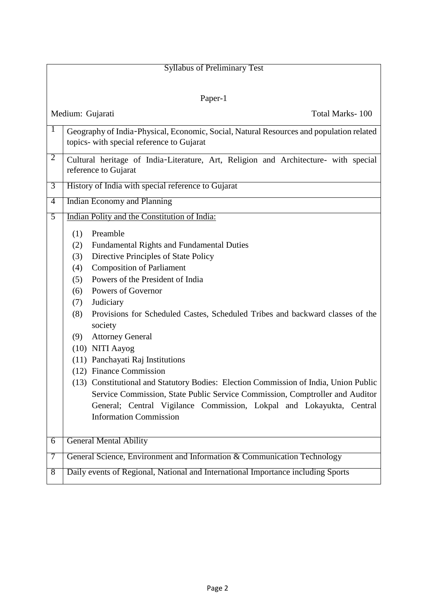| <b>Syllabus of Preliminary Test</b> |                                                                                                                                                                                                                                                                                                                                                                                                   |  |
|-------------------------------------|---------------------------------------------------------------------------------------------------------------------------------------------------------------------------------------------------------------------------------------------------------------------------------------------------------------------------------------------------------------------------------------------------|--|
|                                     |                                                                                                                                                                                                                                                                                                                                                                                                   |  |
| Paper-1                             |                                                                                                                                                                                                                                                                                                                                                                                                   |  |
| Medium: Gujarati<br>Total Marks-100 |                                                                                                                                                                                                                                                                                                                                                                                                   |  |
| $\mathbf{1}$                        | Geography of India-Physical, Economic, Social, Natural Resources and population related<br>topics- with special reference to Gujarat                                                                                                                                                                                                                                                              |  |
| 2                                   | Cultural heritage of India-Literature, Art, Religion and Architecture- with special<br>reference to Gujarat                                                                                                                                                                                                                                                                                       |  |
| $\overline{3}$                      | History of India with special reference to Gujarat                                                                                                                                                                                                                                                                                                                                                |  |
| $\overline{4}$                      | <b>Indian Economy and Planning</b>                                                                                                                                                                                                                                                                                                                                                                |  |
| 5                                   | Indian Polity and the Constitution of India:                                                                                                                                                                                                                                                                                                                                                      |  |
|                                     | Preamble<br>(1)<br>Fundamental Rights and Fundamental Duties<br>(2)<br>Directive Principles of State Policy<br>(3)<br><b>Composition of Parliament</b><br>(4)<br>Powers of the President of India<br>(5)<br>Powers of Governor<br>(6)<br>Judiciary<br>(7)<br>Provisions for Scheduled Castes, Scheduled Tribes and backward classes of the<br>(8)<br>society                                      |  |
|                                     | <b>Attorney General</b><br>(9)<br>(10) NITI Aayog<br>(11) Panchayati Raj Institutions<br>(12) Finance Commission<br>(13) Constitutional and Statutory Bodies: Election Commission of India, Union Public<br>Service Commission, State Public Service Commission, Comptroller and Auditor<br>General; Central Vigilance Commission, Lokpal and Lokayukta, Central<br><b>Information Commission</b> |  |
| $\overline{6}$                      | <b>General Mental Ability</b>                                                                                                                                                                                                                                                                                                                                                                     |  |
| 7                                   | General Science, Environment and Information & Communication Technology                                                                                                                                                                                                                                                                                                                           |  |
| 8                                   | Daily events of Regional, National and International Importance including Sports                                                                                                                                                                                                                                                                                                                  |  |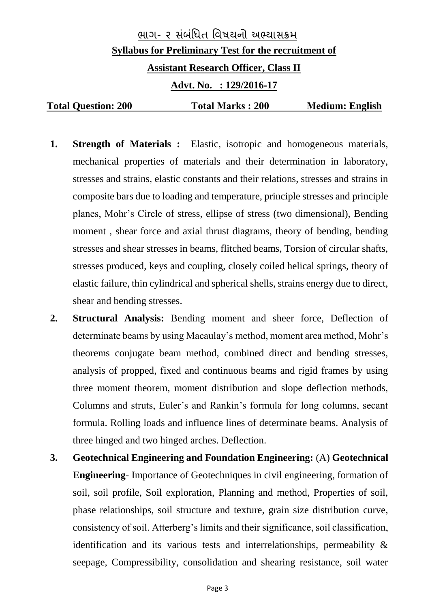# ભાગ- ૨ સ ંબ ંધિત ધિષયનો અભ્યાસક્રમ **Syllabus for Preliminary Test for the recruitment of Assistant Research Officer, Class II Advt. No. : 129/2016-17 Total Question: 200 Total Marks : 200 Medium: English**

- **1. Strength of Materials :** Elastic, isotropic and homogeneous materials, mechanical properties of materials and their determination in laboratory, stresses and strains, elastic constants and their relations, stresses and strains in composite bars due to loading and temperature, principle stresses and principle planes, Mohr's Circle of stress, ellipse of stress (two dimensional), Bending moment , shear force and axial thrust diagrams, theory of bending, bending stresses and shear stresses in beams, flitched beams, Torsion of circular shafts, stresses produced, keys and coupling, closely coiled helical springs, theory of elastic failure, thin cylindrical and spherical shells, strains energy due to direct, shear and bending stresses.
- **2. Structural Analysis:** Bending moment and sheer force, Deflection of determinate beams by using Macaulay's method, moment area method, Mohr's theorems conjugate beam method, combined direct and bending stresses, analysis of propped, fixed and continuous beams and rigid frames by using three moment theorem, moment distribution and slope deflection methods, Columns and struts, Euler's and Rankin's formula for long columns, secant formula. Rolling loads and influence lines of determinate beams. Analysis of three hinged and two hinged arches. Deflection.
- **3. Geotechnical Engineering and Foundation Engineering:** (A) **Geotechnical Engineering**- Importance of Geotechniques in civil engineering, formation of soil, soil profile, Soil exploration, Planning and method, Properties of soil, phase relationships, soil structure and texture, grain size distribution curve, consistency of soil. Atterberg's limits and their significance, soil classification, identification and its various tests and interrelationships, permeability & seepage, Compressibility, consolidation and shearing resistance, soil water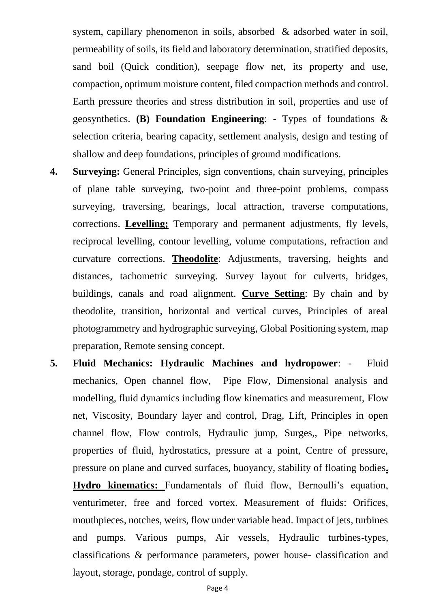system, capillary phenomenon in soils, absorbed & adsorbed water in soil, permeability of soils, its field and laboratory determination, stratified deposits, sand boil (Quick condition), seepage flow net, its property and use, compaction, optimum moisture content, filed compaction methods and control. Earth pressure theories and stress distribution in soil, properties and use of geosynthetics. **(B) Foundation Engineering**: - Types of foundations & selection criteria, bearing capacity, settlement analysis, design and testing of shallow and deep foundations, principles of ground modifications.

- **4. Surveying:** General Principles, sign conventions, chain surveying, principles of plane table surveying, two-point and three-point problems, compass surveying, traversing, bearings, local attraction, traverse computations, corrections. **Levelling;** Temporary and permanent adjustments, fly levels, reciprocal levelling, contour levelling, volume computations, refraction and curvature corrections. **Theodolite**: Adjustments, traversing, heights and distances, tachometric surveying. Survey layout for culverts, bridges, buildings, canals and road alignment. **Curve Setting**: By chain and by theodolite, transition, horizontal and vertical curves, Principles of areal photogrammetry and hydrographic surveying, Global Positioning system, map preparation, Remote sensing concept.
- **5. Fluid Mechanics: Hydraulic Machines and hydropower**: Fluid mechanics, Open channel flow, Pipe Flow, Dimensional analysis and modelling, fluid dynamics including flow kinematics and measurement, Flow net, Viscosity, Boundary layer and control, Drag, Lift, Principles in open channel flow, Flow controls, Hydraulic jump, Surges,, Pipe networks, properties of fluid, hydrostatics, pressure at a point, Centre of pressure, pressure on plane and curved surfaces, buoyancy, stability of floating bodies**. Hydro kinematics:** Fundamentals of fluid flow, Bernoulli's equation, venturimeter, free and forced vortex. Measurement of fluids: Orifices, mouthpieces, notches, weirs, flow under variable head. Impact of jets, turbines and pumps. Various pumps, Air vessels, Hydraulic turbines-types, classifications & performance parameters, power house- classification and layout, storage, pondage, control of supply.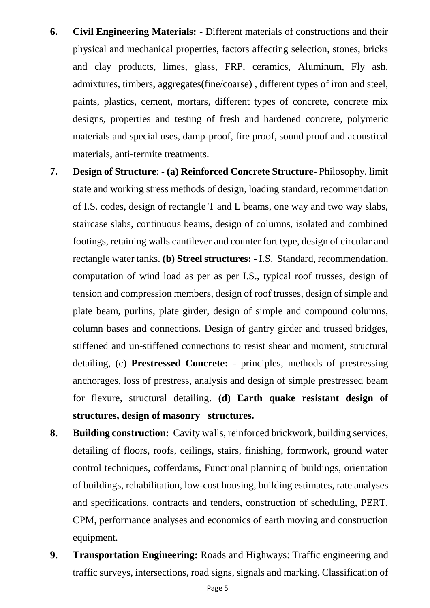- **6. Civil Engineering Materials:** Different materials of constructions and their physical and mechanical properties, factors affecting selection, stones, bricks and clay products, limes, glass, FRP, ceramics, Aluminum, Fly ash, admixtures, timbers, aggregates(fine/coarse) , different types of iron and steel, paints, plastics, cement, mortars, different types of concrete, concrete mix designs, properties and testing of fresh and hardened concrete, polymeric materials and special uses, damp-proof, fire proof, sound proof and acoustical materials, anti-termite treatments.
- **7. Design of Structure**: **(a) Reinforced Concrete Structure** Philosophy, limit state and working stress methods of design, loading standard, recommendation of I.S. codes, design of rectangle T and L beams, one way and two way slabs, staircase slabs, continuous beams, design of columns, isolated and combined footings, retaining walls cantilever and counter fort type, design of circular and rectangle water tanks. **(b) Streel structures:** - I.S. Standard, recommendation, computation of wind load as per as per I.S., typical roof trusses, design of tension and compression members, design of roof trusses, design of simple and plate beam, purlins, plate girder, design of simple and compound columns, column bases and connections. Design of gantry girder and trussed bridges, stiffened and un-stiffened connections to resist shear and moment, structural detailing, (c) **Prestressed Concrete:** - principles, methods of prestressing anchorages, loss of prestress, analysis and design of simple prestressed beam for flexure, structural detailing. **(d) Earth quake resistant design of structures, design of masonry structures.**
- **8. Building construction:** Cavity walls, reinforced brickwork, building services, detailing of floors, roofs, ceilings, stairs, finishing, formwork, ground water control techniques, cofferdams, Functional planning of buildings, orientation of buildings, rehabilitation, low-cost housing, building estimates, rate analyses and specifications, contracts and tenders, construction of scheduling, PERT, CPM, performance analyses and economics of earth moving and construction equipment.
- **9. Transportation Engineering:** Roads and Highways: Traffic engineering and traffic surveys, intersections, road signs, signals and marking. Classification of